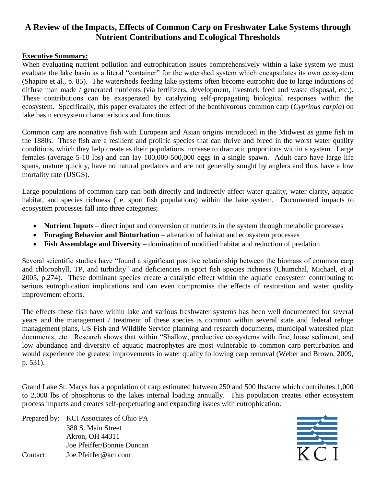# **A Review of the Impacts, Effects of Common Carp on Freshwater Lake Systems through Nutrient Contributions and Ecological Thresholds**

#### **Executive Summary:**

When evaluating nutrient pollution and eutrophication issues comprehensively within a lake system we must evaluate the lake basin as a literal "container" for the watershed system which encapsulates its own ecosystem (Shapiro et al., p. 85). The watersheds feeding lake systems often become eutrophic due to large inductions of diffuse man made / generated nutrients (via fertilizers, development, livestock feed and waste disposal, etc.). These contributions can be exasperated by catalyzing self-propagating biological responses within the ecosystem. Specifically, this paper evaluates the effect of the benthivorous common carp (*Cyprinus carpio*) on lake basin ecosystem characteristics and functions

Common carp are nonnative fish with European and Asian origins introduced in the Midwest as game fish in the 1880s. These fish are a resilient and prolific species that can thrive and breed in the worst water quality conditions, which they help create as their populations increase to dramatic proportions within a system. Large females (average 5-10 lbs) and can lay 100,000-500,000 eggs in a single spawn. Adult carp have large life spans, mature quickly, have no natural predators and are not generally sought by anglers and thus have a low mortality rate (USGS).

Large populations of common carp can both directly and indirectly affect water quality, water clarity, aquatic habitat, and species richness (i.e. sport fish populations) within the lake system. Documented impacts to ecosystem processes fall into three categories;

- **Nutrient Inputs** direct input and conversion of nutrients in the system through metabolic processes
- **Foraging Behavior and Bioturbation** alteration of habitat and ecosystem processes
- **Fish Assemblage and Diversity** domination of modified habitat and reduction of predation

Several scientific studies have "found a significant positive relationship between the biomass of common carp and chlorophyll, TP, and turbidity" and deficiencies in sport fish species richness (Chumchal, Michael, et al 2005, p.274). These dominant species create a catalytic effect within the aquatic ecosystem contributing to serious eutrophication implications and can even compromise the effects of restoration and water quality improvement efforts.

The effects these fish have within lake and various freshwater systems has been well documented for several years and the management / treatment of these species is common within several state and federal refuge management plans, US Fish and Wildlife Service planning and research documents, municipal watershed plan documents, etc. Research shows that within "Shallow, productive ecosystems with fine, loose sediment, and low abundance and diversity of aquatic macrophytes are most vulnerable to common carp perturbation and would experience the greatest improvements in water quality following carp removal (Weber and Brown, 2009, p. 531).

Grand Lake St. Marys has a population of carp estimated between 250 and 500 lbs/acre which contributes 1,000 to 2,000 lbs of phosphorus to the lakes internal loading annually. This population creates other ecosystem process impacts and creates self-perpetuating and expanding issues with eutrophication.

Prepared by: KCI Associates of Ohio PA 388 S. Main Street Akron, OH 44311 Joe Pfeiffer/Bonnie Duncan Contact: Joe.Pfeiffer@kci.com

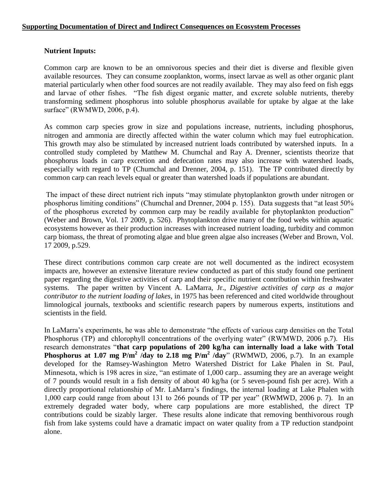#### **Supporting Documentation of Direct and Indirect Consequences on Ecosystem Processes**

#### **Nutrient Inputs:**

Common carp are known to be an omnivorous species and their diet is diverse and flexible given available resources. They can consume zooplankton, worms, insect larvae as well as other organic plant material particularly when other food sources are not readily available. They may also feed on fish eggs and larvae of other fishes. "The fish digest organic matter, and excrete soluble nutrients, thereby transforming sediment phosphorus into soluble phosphorus available for uptake by algae at the lake surface" (RWMWD, 2006, p.4).

As common carp species grow in size and populations increase, nutrients, including phosphorus, nitrogen and ammonia are directly affected within the water column which may fuel eutrophication. This growth may also be stimulated by increased nutrient loads contributed by watershed inputs. In a controlled study completed by Matthew M. Chumchal and Ray A. Drenner, scientists theorize that phosphorus loads in carp excretion and defecation rates may also increase with watershed loads, especially with regard to TP (Chumchal and Drenner, 2004, p. 151). The TP contributed directly by common carp can reach levels equal or greater than watershed loads if populations are abundant.

The impact of these direct nutrient rich inputs "may stimulate phytoplankton growth under nitrogen or phosphorus limiting conditions" (Chumchal and Drenner, 2004 p. 155). Data suggests that "at least 50% of the phosphorus excreted by common carp may be readily available for phytoplankton production" (Weber and Brown, Vol. 17 2009, p. 526). Phytoplankton drive many of the food webs within aquatic ecosystems however as their production increases with increased nutrient loading, turbidity and common carp biomass, the threat of promoting algae and blue green algae also increases (Weber and Brown, Vol. 17 2009, p.529.

These direct contributions common carp create are not well documented as the indirect ecosystem impacts are, however an extensive literature review conducted as part of this study found one pertinent paper regarding the digestive activities of carp and their specific nutrient contribution within freshwater systems. The paper written by Vincent A. LaMarra, Jr., *Digestive activities of carp as a major contributor to the nutrient loading of lakes*, in 1975 has been referenced and cited worldwide throughout limnological journals, textbooks and scientific research papers by numerous experts, institutions and scientists in the field.

In LaMarra's experiments, he was able to demonstrate "the effects of various carp densities on the Total Phosphorus (TP) and chlorophyll concentrations of the overlying water" (RWMWD, 2006 p.7). His research demonstrates "**that carp populations of 200 kg/ha can internally load a lake with Total Phosphorus at 1.07 mg P/m<sup>2</sup>**  $\hat{d}$ **ay** to 2.18 mg P/m<sup>2</sup>  $\hat{d}$ **ay**" (RWMWD, 2006, p.7). In an example developed for the Ramsey-Washington Metro Watershed District for Lake Phalen in St. Paul, Minnesota, which is 198 acres in size, "an estimate of 1,000 carp.. assuming they are an average weight of 7 pounds would result in a fish density of about 40 kg/ha (or 5 seven-pound fish per acre). With a directly proportional relationship of Mr. LaMarra's findings, the internal loading at Lake Phalen with 1,000 carp could range from about 131 to 266 pounds of TP per year" (RWMWD, 2006 p. 7). In an extremely degraded water body, where carp populations are more established, the direct TP contributions could be sizably larger. These results alone indicate that removing benthivorous rough fish from lake systems could have a dramatic impact on water quality from a TP reduction standpoint alone.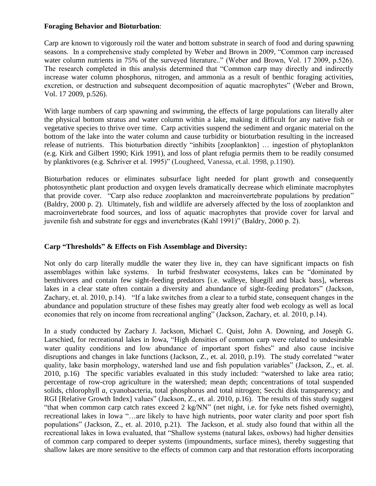#### **Foraging Behavior and Bioturbation**:

Carp are known to vigorously roil the water and bottom substrate in search of food and during spawning seasons. In a comprehensive study completed by Weber and Brown in 2009, "Common carp increased water column nutrients in 75% of the surveyed literature.." (Weber and Brown, Vol. 17 2009, p.526). The research completed in this analysis determined that "Common carp may directly and indirectly increase water column phosphorus, nitrogen, and ammonia as a result of benthic foraging activities, excretion, or destruction and subsequent decomposition of aquatic macrophytes" (Weber and Brown, Vol. 17 2009, p.526).

With large numbers of carp spawning and swimming, the effects of large populations can literally alter the physical bottom stratus and water column within a lake, making it difficult for any native fish or vegetative species to thrive over time. Carp activities suspend the sediment and organic material on the bottom of the lake into the water column and cause turbidity or bioturbation resulting in the increased release of nutrients. This bioturbation directly "inhibits [zooplankton] … ingestion of phytoplankton (e.g. Kirk and Gilbert 1990; Kirk 1991), and loss of plant refugia permits them to be readily consumed by planktivores (e.g. Schriver et al. 1995)" (Lougheed, Vanessa, et.al. 1998, p.1190).

Bioturbation reduces or eliminates subsurface light needed for plant growth and consequently photosynthetic plant production and oxygen levels dramatically decrease which eliminate macrophytes that provide cover. "Carp also reduce zooplankton and macroinvertebrate populations by predation" (Baldry, 2000 p. 2). Ultimately, fish and wildlife are adversely affected by the loss of zooplankton and macroinvertebrate food sources, and loss of aquatic macrophytes that provide cover for larval and juvenile fish and substrate for eggs and invertebrates (Kahl 1991)" (Baldry, 2000 p. 2).

## **Carp "Thresholds" & Effects on Fish Assemblage and Diversity:**

Not only do carp literally muddle the water they live in, they can have significant impacts on fish assemblages within lake systems. In turbid freshwater ecosystems, lakes can be "dominated by benthivores and contain few sight-feeding predators [i.e. walleye, bluegill and black bass], whereas lakes in a clear state often contain a diversity and abundance of sight-feeding predators" (Jackson, Zachary, et. al. 2010, p.14). "If a lake switches from a clear to a turbid state, consequent changes in the abundance and population structure of these fishes may greatly alter food web ecology as well as local economies that rely on income from recreational angling" (Jackson, Zachary, et. al. 2010, p.14).

In a study conducted by Zachary J. Jackson, Michael C. Quist, John A. Downing, and Joseph G. Larschied, for recreational lakes in Iowa, "High densities of common carp were related to undesirable water quality conditions and low abundance of important sport fishes" and also cause incisive disruptions and changes in lake functions (Jackson, Z., et. al. 2010, p.19). The study correlated "water quality, lake basin morphology, watershed land use and fish population variables" (Jackson, Z., et. al. 2010, p.16) The specific variables evaluated in this study included: "watershed to lake area ratio; percentage of row-crop agriculture in the watershed; mean depth; concentrations of total suspended solids, chlorophyll *a*, cyanobacteria, total phosphorus and total nitrogen; Secchi disk transparency; and RGI [Relative Growth Index] values" (Jackson, Z., et. al. 2010, p.16). The results of this study suggest "that when common carp catch rates exceed 2 kg/NN" (net night, i.e. for fyke nets fished overnight), recreational lakes in Iowa "…are likely to have high nutrients, poor water clarity and poor sport fish populations" (Jackson, Z., et. al. 2010, p.21). The Jackson, et al. study also found that within all the recreational lakes in Iowa evaluated, that "Shallow systems (natural lakes, oxbows) had higher densities of common carp compared to deeper systems (impoundments, surface mines), thereby suggesting that shallow lakes are more sensitive to the effects of common carp and that restoration efforts incorporating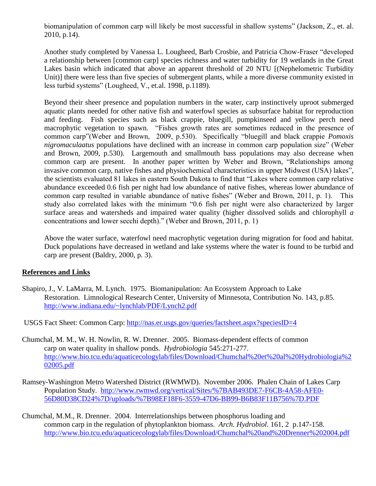biomanipulation of common carp will likely be most successful in shallow systems" (Jackson, Z., et. al. 2010, p.14).

Another study completed by Vanessa L. Lougheed, Barb Crosbie, and Patricia Chow-Fraser "developed a relationship between [common carp] species richness and water turbidity for 19 wetlands in the Great Lakes basin which indicated that above an apparent threshold of 20 NTU [(Nephelometric Turbidity Unit)] there were less than five species of submergent plants, while a more diverse community existed in less turbid systems" (Lougheed, V., et.al. 1998, p.1189).

Beyond their sheer presence and population numbers in the water, carp instinctively uproot submerged aquatic plants needed for other native fish and waterfowl species as subsurface habitat for reproduction and feeding. Fish species such as black crappie, bluegill, pumpkinseed and yellow perch need macrophytic vegetation to spawn. "Fishes growth rates are sometimes reduced in the presence of common carp"(Weber and Brown, 2009, p.530). Specifically "bluegill and black crappie *Pomoxis nigromaculaatus* populations have declined with an increase in common carp population size" (Weber and Brown, 2009, p.530). Largemouth and smallmouth bass populations may also decrease when common carp are present. In another paper written by Weber and Brown, "Relationships among invasive common carp, native fishes and physiochemical characteristics in upper Midwest (USA) lakes", the scientists evaluated 81 lakes in eastern South Dakota to find that "Lakes where common carp relative abundance exceeded 0.6 fish per night had low abundance of native fishes, whereas lower abundance of common carp resulted in variable abundance of native fishes" (Weber and Brown, 2011, p. 1). This study also correlated lakes with the minimum "0.6 fish per night were also characterized by larger surface areas and watersheds and impaired water quality (higher dissolved solids and chlorophyll *a* concentrations and lower secchi depth)." (Weber and Brown, 2011, p. 1)

Above the water surface, waterfowl need macrophytic vegetation during migration for food and habitat. Duck populations have decreased in wetland and lake systems where the water is found to be turbid and carp are present (Baldry, 2000, p. 3).

### **References and Links**

Shapiro, J., V. LaMarra, M. Lynch. 1975. Biomanipulation: An Ecosystem Approach to Lake Restoration. Limnological Research Center, University of Minnesota, Contribution No. 143, p.85. <http://www.indiana.edu/~lynchlab/PDF/Lynch2.pdf>

USGS Fact Sheet: Common Carp:<http://nas.er.usgs.gov/queries/factsheet.aspx?speciesID=4>

- Chumchal, M. M., W. H. Nowlin, R. W. Drenner. 2005. Biomass-dependent effects of common carp on water quality in shallow ponds. *Hydrobiologia* 545:271-277. [http://www.bio.tcu.edu/aquaticecologylab/files/Download/Chumchal%20et%20al%20Hydrobiologia%2](http://www.bio.tcu.edu/aquaticecologylab/files/Download/Chumchal%20et%20al%20Hydrobiologia%202005.pdf) [02005.pdf](http://www.bio.tcu.edu/aquaticecologylab/files/Download/Chumchal%20et%20al%20Hydrobiologia%202005.pdf)
- Ramsey-Washington Metro Watershed District (RWMWD). November 2006. Phalen Chain of Lakes Carp Population Study. [http://www.rwmwd.org/vertical/Sites/%7BAB493DE7-F6CB-4A58-AFE0-](http://www.rwmwd.org/vertical/Sites/%7BAB493DE7-F6CB-4A58-AFE0-56D80D38CD24%7D/uploads/%7B98EF18F6-3559-47D6-BB99-B6B83F11B756%7D.PDF) [56D80D38CD24%7D/uploads/%7B98EF18F6-3559-47D6-BB99-B6B83F11B756%7D.PDF](http://www.rwmwd.org/vertical/Sites/%7BAB493DE7-F6CB-4A58-AFE0-56D80D38CD24%7D/uploads/%7B98EF18F6-3559-47D6-BB99-B6B83F11B756%7D.PDF)
- Chumchal, M.M., R. Drenner. 2004. Interrelationships between phosphorus loading and common carp in the regulation of phytoplankton biomass. *Arch. Hydrobiol*. 161, 2 p.147-158. <http://www.bio.tcu.edu/aquaticecologylab/files/Download/Chumchal%20and%20Drenner%202004.pdf>